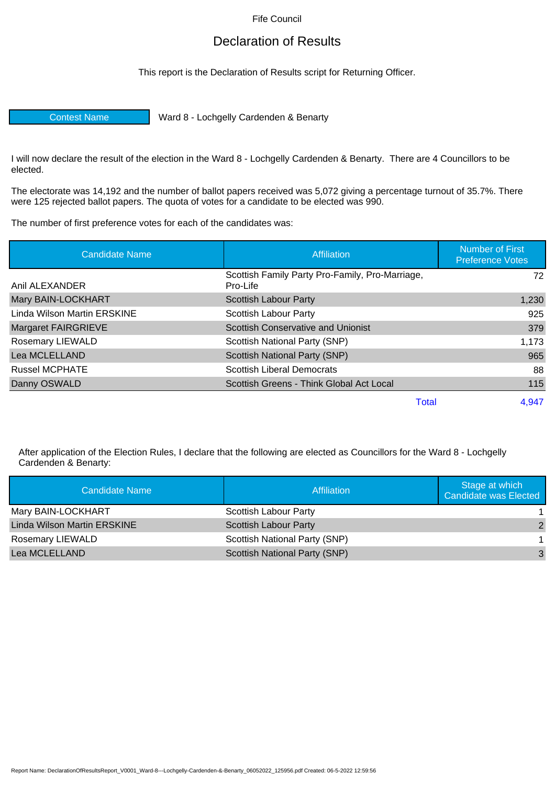Fife Council

## Declaration of Results

This report is the Declaration of Results script for Returning Officer.

Contest Name Ward 8 - Lochgelly Cardenden & Benarty

I will now declare the result of the election in the Ward 8 - Lochgelly Cardenden & Benarty. There are 4 Councillors to be elected.

The electorate was 14,192 and the number of ballot papers received was 5,072 giving a percentage turnout of 35.7%. There were 125 rejected ballot papers. The quota of votes for a candidate to be elected was 990.

The number of first preference votes for each of the candidates was:

| <b>Candidate Name</b>       | <b>Affiliation</b>                                          | <b>Number of First</b><br><b>Preference Votes</b> |  |
|-----------------------------|-------------------------------------------------------------|---------------------------------------------------|--|
| Anil ALEXANDER              | Scottish Family Party Pro-Family, Pro-Marriage,<br>Pro-Life | 72                                                |  |
| Mary BAIN-LOCKHART          | Scottish Labour Party                                       | 1,230                                             |  |
| Linda Wilson Martin ERSKINE | Scottish Labour Party                                       | 925                                               |  |
| <b>Margaret FAIRGRIEVE</b>  | <b>Scottish Conservative and Unionist</b>                   | 379                                               |  |
| <b>Rosemary LIEWALD</b>     | Scottish National Party (SNP)                               | 1,173                                             |  |
| Lea MCLELLAND               | Scottish National Party (SNP)                               | 965                                               |  |
| <b>Russel MCPHATE</b>       | <b>Scottish Liberal Democrats</b>                           | 88                                                |  |
| Danny OSWALD                | Scottish Greens - Think Global Act Local                    | 115                                               |  |
|                             | Total                                                       | 4,947                                             |  |

After application of the Election Rules, I declare that the following are elected as Councillors for the Ward 8 - Lochgelly Cardenden & Benarty:

| Candidate Name              | Affiliation                   | Stage at which<br>Candidate was Elected |
|-----------------------------|-------------------------------|-----------------------------------------|
| Mary BAIN-LOCKHART          | Scottish Labour Party         |                                         |
| Linda Wilson Martin ERSKINE | Scottish Labour Party         | 2                                       |
| <b>Rosemary LIEWALD</b>     | Scottish National Party (SNP) |                                         |
| Lea MCLELLAND               | Scottish National Party (SNP) | 3                                       |